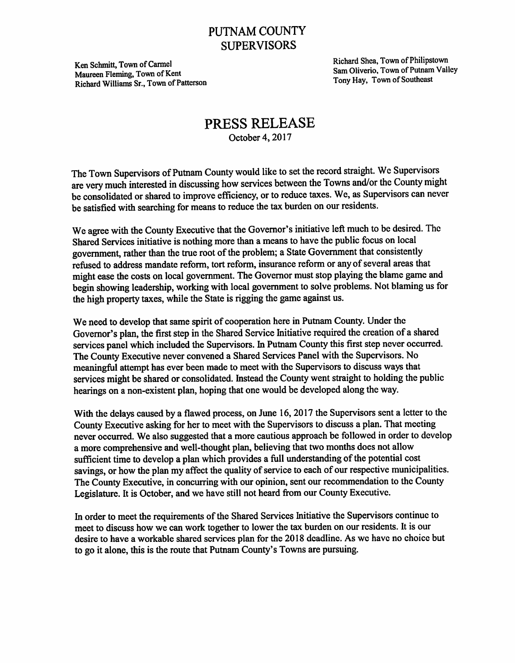## PUTNAM COUNTY **SUPERVISORS**

Maureen Fleming, Town of Kent Sam Oliverio, 1 own of Putnam<br>Tony Hay, Town of Southeast Richard Williams Sr., Town of Patterson

Ken Schmitt, Town of Carmel Richard Shea, Town of Philipstown<br>Maureon Floming Town of Kent Sam Oliverio, Town of Putnam Valley

## PRESS RELEASE October 4,2017

The Town Supervisors of Putnam County would like to set the record straight. We Supervisors are very much interested in discussing how services between the Towns and/or the County might be consolidated or shared to improve efficiency, or to reduce taxes. We, as Supervisors can never be satisfied with searching for means to reduce the tax burden on our residents.

We agree with the County Executive that the Governor's initiative left much to be desired. The Shared Services initiative is nothing more than a means to have the public focus on local government, rather than the true root of the problem; a State Government that consistently refused to address mandate reform, tort reform, insurance reform or any of several areas that might ease the costs on local government. The Governor must stop playing the blame game and begin showing leadership, working with local government to solve problems. Not blaming us for the high property taxes, while the State is rigging the game against us.

We need to develop that same spirit of cooperation here in Putnam County. Under the Governor's plan, the first step in the Shared Service Initiative required the creation of a shared services panel which included the Supervisors. In Putnam County this first step never occurred. The County Executive never convened a Shared Services Panel with the Supervisors. No meaningful attempt has ever been made to meet with the Supervisors to discuss ways that services might be shared or consolidated. Instead the County went straight to holding the public hearings on a non-existent plan, hoping that one would be developed along the way.

With the delays caused by a flawed process, on June 16,2017 the Supervisors sent a letter to the County Executive asking for her to meet with the Supervisors to discuss a plan. That meeting never occurred. We also suggested that a more cautious approach be followed in order to develop a more comprehensive and well-thought plan, believing that two months does not allow sufficient time to develop a plan which provides a full understanding of the potential cost savings, or how the plan my affect the quality of service to each of our respective municipalities. The County Executive, in concurring with our opinion, sent our recommendation to the County Legislature. It is October, and we have still not heard from our County Executive.

In order to meet the requirements of the Shared Services Initiative the Supervisors continue to meet to discuss how we can work together to lower the tax burden on our residents. It is our desire to have a workable shared services plan for the 2018 deadline. As we have no choice but to go it alone, this is the route that Putnam County's Towns are pursuing.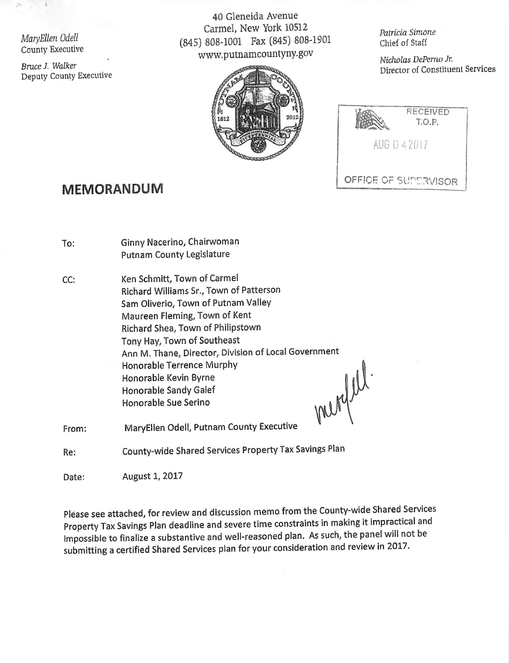MaryEUen Odell County Executive

Bruce J. Walker Deputy County Executive

40 Gleneida Avenue Carmel, New York 10512 (845) 808-1001 Fax (845) 808-1901 www.putnamcountyny.gov



Patricia Simone Chief of Staff

Nicholas DePemo Jr. Director of Constituent Services

| RECEIVED<br>T.O.P.   |
|----------------------|
| AUG 0 4 2017         |
| OFFICE OF SUPERVISOR |

## MEMORANDUM

| To:   | Ginny Nacerino, Chairwoman<br>Putnam County Legislature                                                                                                                                                                                                                                                                                                                                    |
|-------|--------------------------------------------------------------------------------------------------------------------------------------------------------------------------------------------------------------------------------------------------------------------------------------------------------------------------------------------------------------------------------------------|
| CC:   | Ken Schmitt, Town of Carmel<br>Richard Williams Sr., Town of Patterson<br>Sam Oliverio, Town of Putnam Valley<br>Maureen Fleming, Town of Kent<br>Richard Shea, Town of Philipstown<br>Tony Hay, Town of Southeast<br>Ann M. Thane, Director, Division of Local Government<br>Honorable Terrence Murphy<br>Honorable Kevin Byrne<br>merge<br>Honorable Sandy Galef<br>Honorable Sue Serino |
| From: | MaryEllen Odell, Putnam County Executive                                                                                                                                                                                                                                                                                                                                                   |
| Re:   | County-wide Shared Services Property Tax Savings Plan                                                                                                                                                                                                                                                                                                                                      |

Date: August 1, 2017

Please see attached, for review and discussion memo from the County-wide Shared Services Property Tax Savings Plan deadline and severe time constraints in making it impractical and Impossible to finalize a substantive and weli-reasoned plan. As such, the panel will not be submitting a certified Shared Services plan for your consideration and review in 2017.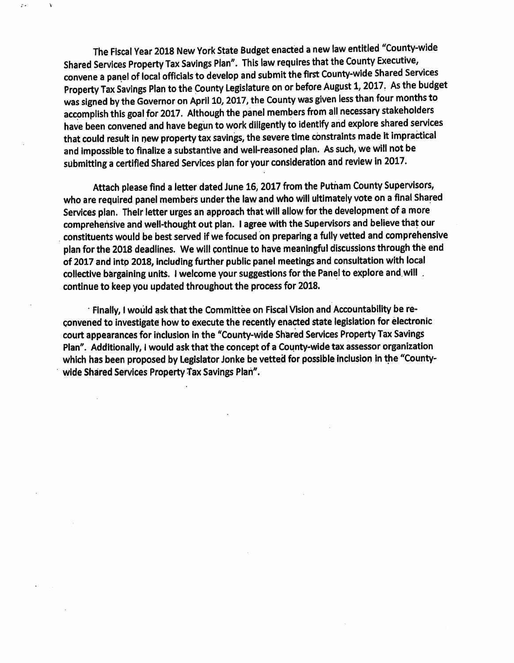The Fiscal Year 2018 New York State Budget enacted a new law entitled "County-wide Shared Services Property Tax Savings Plan". This law requires that the County Executive, convene a panel of local officials to develop and submit the first County-wide Shared Services Property Tax Savings Plan to the County Legislature on or before August 1,2017. As the budget was signed by the Governor on April 10,2017, the County was given less than four months to accomplish this goal for 2017. Although the panel members from all necessary stakeholders have been convened and have begun to work diligently to identify and explore shared services that could result in new property tax savings, the severe time constraints made it impractical and impossible to finalize a substantive and well-reasoned plan. As such, we will not be submitting a certified Shared Services plan for your consideration and review in 2017.

À

 $\mathcal{L}$ 

Attach please find a letter dated June 16,2017 from the Putnam County Supervisors, who are required panel members under the law and who will ultimately vote on a final Shared Services plan. Their letter urges an approach that will allow for the development of a more comprehensive and well-thought out plan. I agree with the Supervisors and believe that our constituents would be best served if we focused on preparing a fuliy vetted and comprehensive pian for the 2018 deadiines. We wiil continue to have meaningful discussions through the end of 2017 and into 2018, including further public panel meetings and consultation with local collective bargaining units. I welcome your suggestions for the Panel to explore and will. continue to keep you updated throughout the process for 2018.

Finally, I would ask that the Committee on Fiscal Vision and Accountability be re convened to investigate how to execute the recently enacted state legislation for electronic court appearances for inclusion in the "County-wide Shared Services Property Tax Savings Plan". Additionally, I would ask that the concept of a County-wide tax assessor organization which has been proposed by Legislator Jonke be vetted for possible inclusion in the "Countywide Shared Services Property Tax Savings Plan".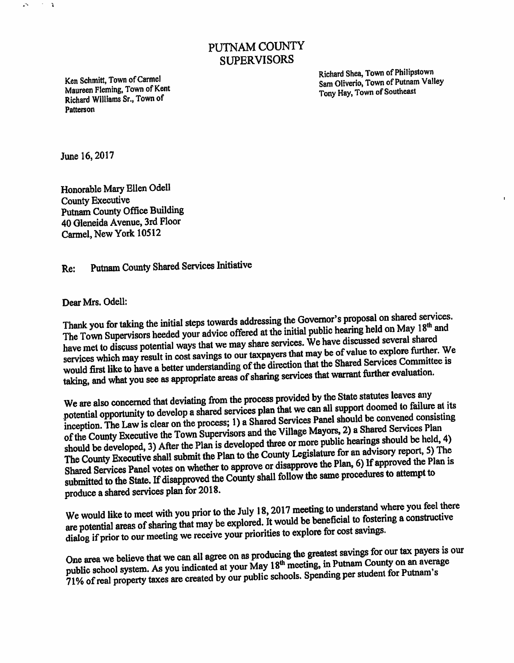## PUTNAM COUNTY SUPERVISORS

Richard Williams Sr., Town of ^ ' Patterson

Richard Shea, Town of Philipstown Ken Schmitt, Town of Carmel<br>
Maureen Fleming, Town of Kent<br>
Maureen Fleming, Town of Kent<br>
Tony Hay Town of Southeast Tony Hay, Town of Southeast

June 16,2017

 $\mathcal{F} \subset \mathcal{X}$ 

 $\mathcal{L}^{\infty}$ 

Honorable Mary Ellen Odell County Executive Putnam County Office Building 40 Oleneida Avenue, 3rd Floor Carmel, New York 10512

Re: Putnam County Shared Services Initiative

Dear Mrs, Odell:

Thank you for taking the initial steps towards addressing the Governor's proposal on shared services.<br>The Town Supervisors heeded your advice offered at the initial public hearing held on May  $18<sup>th</sup>$  and have met to discuss potential ways that we may share services. We have discussed several shared services which may result in cost savings to our taxpayers that may be of value to explore further. We would first like to have a better understanding of the direction that the Shared Services Committee is taking, and what you see as appropriate areas of sharing services that warrant further evaluation.

We are also concerned that deviating from the process provided by the State statutes for each vector. potential opportunity to develop a shared services plan that we can all support dominant to change to  $\alpha$ of the County Executive the Town Supervisors and the Village Mayors, 2) a Shared Services Plan should be developed, 3) After the Plan is developed three or more public hearings should be held, 4) The County Executive shall submit the Plan to the County Legislature for an advisory report, 5) The Shared Services Panel votes on whether to approve or disapprove the Plan, 6) If approved the Plan is submitted to the Stat Shared Services Panel votes on whether to approve or disapprove the Plan, 6) If approved the Plan is

produce a shared services plan for 2018.<br>We would like to meet with you prior to the July 18, 2017 meeting to understand where you feel there We would like to meet with you prior to the July 16, 2017 meeting to discussed the constructive<br>are potential areas of sharing that may be explored. It would be beneficial to fostering a constructive dialog if prior to our meeting we receive your priorities to explore for cost savings.

public school system. As you indicated at your May 18<sup>th</sup> meeting, in Putnam County on an average 71% of real property taxes are created by our public schools. Spending per student for Putnam One area we believe that we can all agree on as producing the greatest savings for our tax payers is our